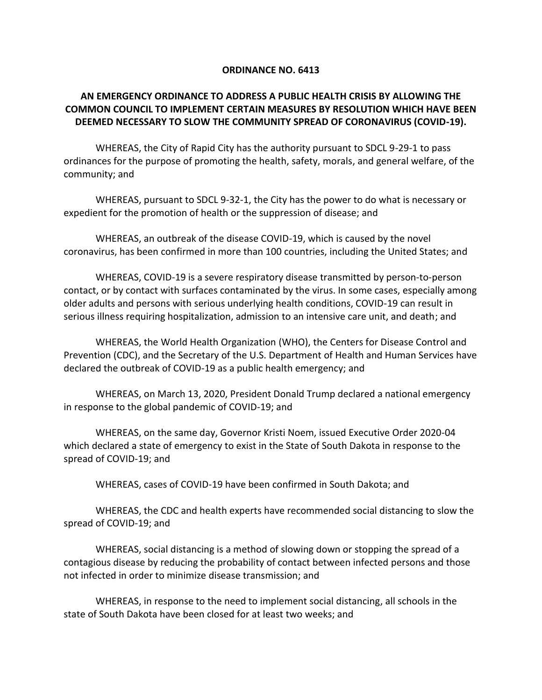## **ORDINANCE NO. 6413**

## **AN EMERGENCY ORDINANCE TO ADDRESS A PUBLIC HEALTH CRISIS BY ALLOWING THE COMMON COUNCIL TO IMPLEMENT CERTAIN MEASURES BY RESOLUTION WHICH HAVE BEEN DEEMED NECESSARY TO SLOW THE COMMUNITY SPREAD OF CORONAVIRUS (COVID-19).**

WHEREAS, the City of Rapid City has the authority pursuant to SDCL 9-29-1 to pass ordinances for the purpose of promoting the health, safety, morals, and general welfare, of the community; and

WHEREAS, pursuant to SDCL 9-32-1, the City has the power to do what is necessary or expedient for the promotion of health or the suppression of disease; and

WHEREAS, an outbreak of the disease COVID-19, which is caused by the novel coronavirus, has been confirmed in more than 100 countries, including the United States; and

WHEREAS, COVID-19 is a severe respiratory disease transmitted by person-to-person contact, or by contact with surfaces contaminated by the virus. In some cases, especially among older adults and persons with serious underlying health conditions, COVID-19 can result in serious illness requiring hospitalization, admission to an intensive care unit, and death; and

WHEREAS, the World Health Organization (WHO), the Centers for Disease Control and Prevention (CDC), and the Secretary of the U.S. Department of Health and Human Services have declared the outbreak of COVID-19 as a public health emergency; and

WHEREAS, on March 13, 2020, President Donald Trump declared a national emergency in response to the global pandemic of COVID-19; and

WHEREAS, on the same day, Governor Kristi Noem, issued Executive Order 2020-04 which declared a state of emergency to exist in the State of South Dakota in response to the spread of COVID-19; and

WHEREAS, cases of COVID-19 have been confirmed in South Dakota; and

WHEREAS, the CDC and health experts have recommended social distancing to slow the spread of COVID-19; and

WHEREAS, social distancing is a method of slowing down or stopping the spread of a contagious disease by reducing the probability of contact between infected persons and those not infected in order to minimize disease transmission; and

WHEREAS, in response to the need to implement social distancing, all schools in the state of South Dakota have been closed for at least two weeks; and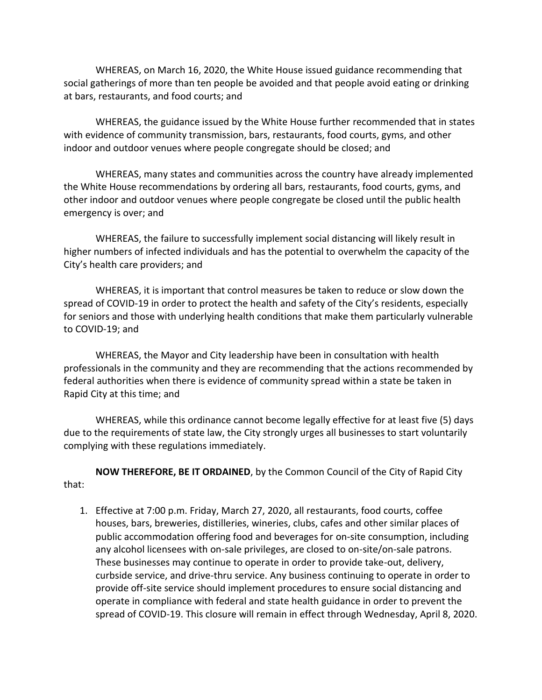WHEREAS, on March 16, 2020, the White House issued guidance recommending that social gatherings of more than ten people be avoided and that people avoid eating or drinking at bars, restaurants, and food courts; and

WHEREAS, the guidance issued by the White House further recommended that in states with evidence of community transmission, bars, restaurants, food courts, gyms, and other indoor and outdoor venues where people congregate should be closed; and

WHEREAS, many states and communities across the country have already implemented the White House recommendations by ordering all bars, restaurants, food courts, gyms, and other indoor and outdoor venues where people congregate be closed until the public health emergency is over; and

WHEREAS, the failure to successfully implement social distancing will likely result in higher numbers of infected individuals and has the potential to overwhelm the capacity of the City's health care providers; and

WHEREAS, it is important that control measures be taken to reduce or slow down the spread of COVID-19 in order to protect the health and safety of the City's residents, especially for seniors and those with underlying health conditions that make them particularly vulnerable to COVID-19; and

WHEREAS, the Mayor and City leadership have been in consultation with health professionals in the community and they are recommending that the actions recommended by federal authorities when there is evidence of community spread within a state be taken in Rapid City at this time; and

WHEREAS, while this ordinance cannot become legally effective for at least five (5) days due to the requirements of state law, the City strongly urges all businesses to start voluntarily complying with these regulations immediately.

**NOW THEREFORE, BE IT ORDAINED**, by the Common Council of the City of Rapid City that:

1. Effective at 7:00 p.m. Friday, March 27, 2020, all restaurants, food courts, coffee houses, bars, breweries, distilleries, wineries, clubs, cafes and other similar places of public accommodation offering food and beverages for on-site consumption, including any alcohol licensees with on-sale privileges, are closed to on-site/on-sale patrons. These businesses may continue to operate in order to provide take-out, delivery, curbside service, and drive-thru service. Any business continuing to operate in order to provide off-site service should implement procedures to ensure social distancing and operate in compliance with federal and state health guidance in order to prevent the spread of COVID-19. This closure will remain in effect through Wednesday, April 8, 2020.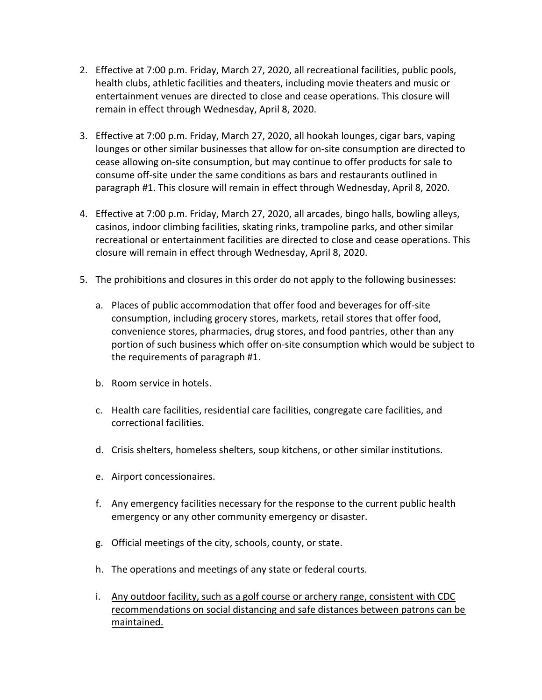- 2. Effective at 7:00 p.m. Friday, March 27, 2020, all recreational facilities, public pools, health clubs, athletic facilities and theaters, including movie theaters and music or entertainment venues are directed to close and cease operations. This closure will remain in effect through Wednesday, April 8, 2020.
- 3. Effective at 7:00 p.m. Friday, March 27, 2020, all hookah lounges, cigar bars, vaping lounges or other similar businesses that allow for on-site consumption are directed to cease allowing on-site consumption, but may continue to offer products for sale to consume off-site under the same conditions as bars and restaurants outlined in paragraph #1. This closure will remain in effect through Wednesday, April 8, 2020.
- 4. Effective at 7:00 p.m. Friday, March 27, 2020, all arcades, bingo halls, bowling alleys, casinos, indoor climbing facilities, skating rinks, trampoline parks, and other similar recreational or entertainment facilities are directed to close and cease operations. This closure will remain in effect through Wednesday, April 8, 2020.
- 5. The prohibitions and closures in this order do not apply to the following businesses:
	- a. Places of public accommodation that offer food and beverages for off-site consumption, including grocery stores, markets, retail stores that offer food, convenience stores, pharmacies, drug stores, and food pantries, other than any portion of such business which offer on-site consumption which would be subject to the requirements of paragraph #1.
	- b. Room service in hotels.
	- c. Health care facilities, residential care facilities, congregate care facilities, and correctional facilities.
	- d. Crisis shelters, homeless shelters, soup kitchens, or other similar institutions.
	- e. Airport concessionaires.
	- f. Any emergency facilities necessary for the response to the current public health emergency or any other community emergency or disaster.
	- g. Official meetings of the city, schools, county, or state.
	- h. The operations and meetings of any state or federal courts.
	- i. Any outdoor facility, such as a golf course or archery range, consistent with CDC recommendations on social distancing and safe distances between patrons can be maintained.